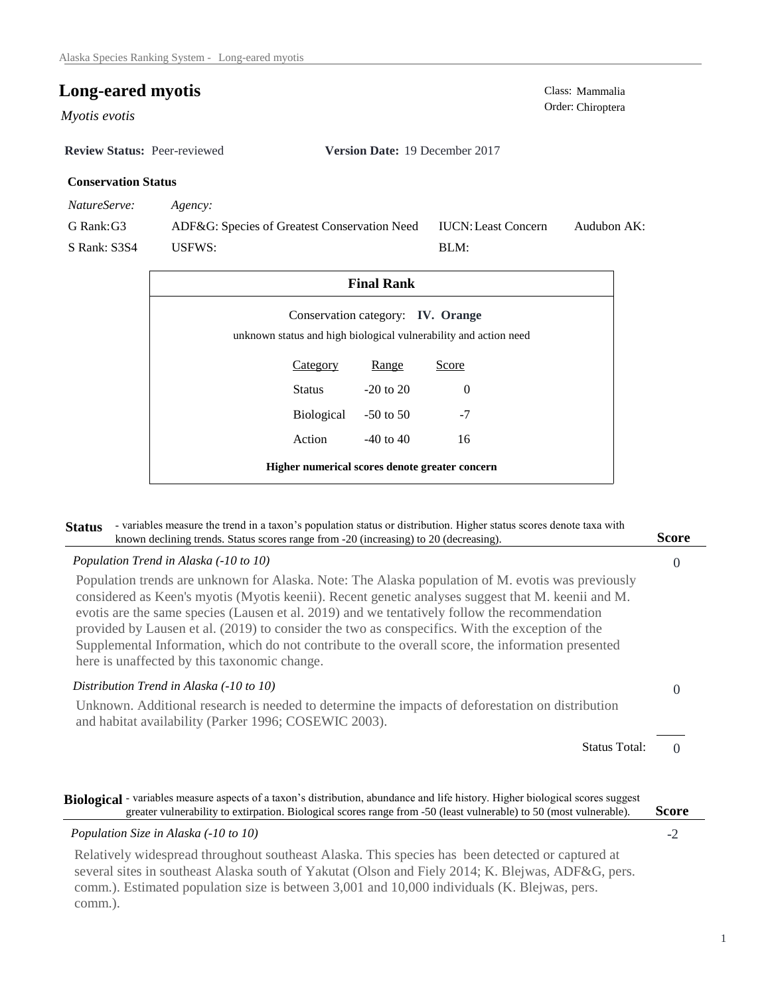# **Long-eared myotis** Class: Mammalia

*Myotis evotis* 

**Review Status:** Peer-reviewed **Version Date:** 19 December 2017

## **Conservation Status**

*NatureServe: Agency:*

G Rank:G3 S Rank: S3S4 ADF&G: Species of Greatest Conservation Need USFWS: Audubon AK: BLM: IUCN:Least Concern

| <b>Final Rank</b>                                                                                     |                 |               |          |  |  |
|-------------------------------------------------------------------------------------------------------|-----------------|---------------|----------|--|--|
| Conservation category: IV. Orange<br>unknown status and high biological vulnerability and action need |                 |               |          |  |  |
|                                                                                                       | <b>Category</b> | Range         | Score    |  |  |
| Status                                                                                                |                 | $-20$ to $20$ | $\Omega$ |  |  |
|                                                                                                       | Biological      | $-50$ to 50   | $-7$     |  |  |
| Action                                                                                                |                 | -40 to 40     | 16       |  |  |
| Higher numerical scores denote greater concern                                                        |                 |               |          |  |  |

#### Status - variables measure the trend in a taxon's population status or distribution. Higher status scores denote taxa with known declining trends. Status scores range from -20 (increasing) to 20 (decreasing). **Score**

| Population Trend in Alaska (-10 to 10)                                                                                                                                                                                                                                                                                                                                                                                                                                                                                                                           | $\theta$ |
|------------------------------------------------------------------------------------------------------------------------------------------------------------------------------------------------------------------------------------------------------------------------------------------------------------------------------------------------------------------------------------------------------------------------------------------------------------------------------------------------------------------------------------------------------------------|----------|
| Population trends are unknown for Alaska. Note: The Alaska population of M. evotis was previously<br>considered as Keen's myotis (Myotis keenii). Recent genetic analyses suggest that M. keenii and M.<br>evotis are the same species (Lausen et al. 2019) and we tentatively follow the recommendation<br>provided by Lausen et al. (2019) to consider the two as conspecifics. With the exception of the<br>Supplemental Information, which do not contribute to the overall score, the information presented<br>here is unaffected by this taxonomic change. |          |
| Distribution Trend in Alaska (-10 to 10)                                                                                                                                                                                                                                                                                                                                                                                                                                                                                                                         | $\theta$ |
| Unknown. Additional research is needed to determine the impacts of deforestation on distribution<br>and habitat availability (Parker 1996; COSEWIC 2003).                                                                                                                                                                                                                                                                                                                                                                                                        |          |
| <b>Status Total:</b>                                                                                                                                                                                                                                                                                                                                                                                                                                                                                                                                             |          |
|                                                                                                                                                                                                                                                                                                                                                                                                                                                                                                                                                                  |          |

| Biological - variables measure aspects of a taxon's distribution, abundance and life history. Higher biological scores suggest<br>greater vulnerability to extirpation. Biological scores range from -50 (least vulnerable) to 50 (most vulnerable).                                                              | <b>Score</b> |
|-------------------------------------------------------------------------------------------------------------------------------------------------------------------------------------------------------------------------------------------------------------------------------------------------------------------|--------------|
| Population Size in Alaska (-10 to 10)                                                                                                                                                                                                                                                                             | $-2$         |
| Relatively widespread throughout southeast Alaska. This species has been detected or captured at<br>several sites in southeast Alaska south of Yakutat (Olson and Fiely 2014; K. Blejwas, ADF&G, pers.<br>comm.). Estimated population size is between 3,001 and 10,000 individuals (K. Blejwas, pers.<br>comm.). |              |

Order: Chiroptera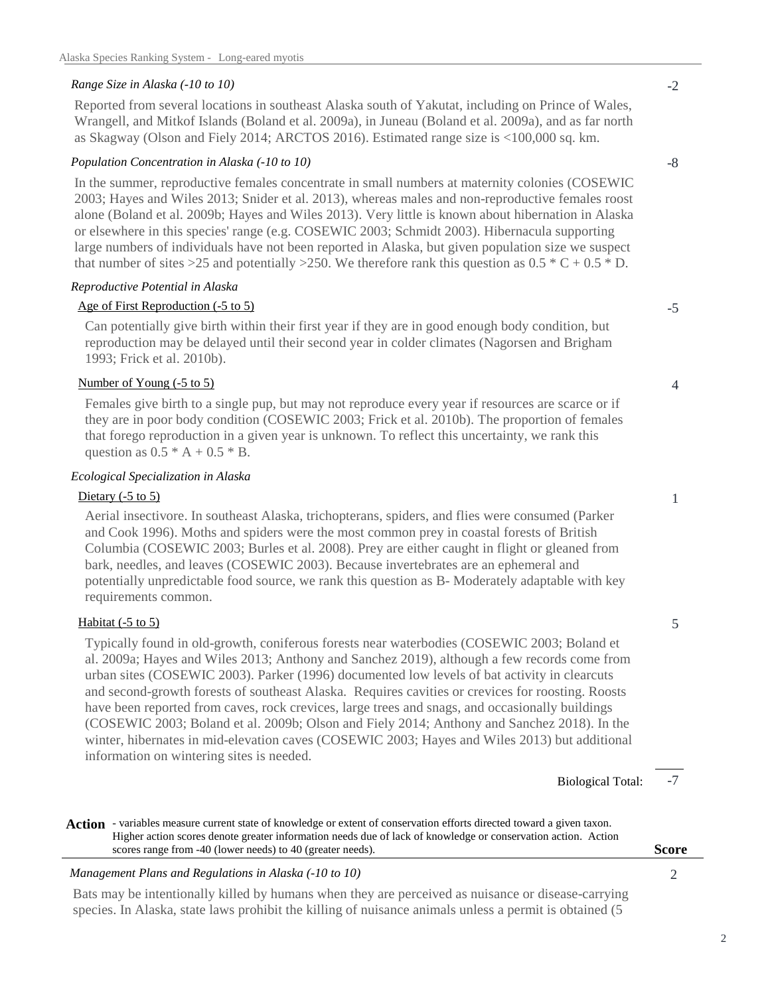#### *Range Size in Alaska (-10 to 10)*

Reported from several locations in southeast Alaska south of Yakutat, including on Prince of Wales, Wrangell, and Mitkof Islands (Boland et al. 2009a), in Juneau (Boland et al. 2009a), and as far north as Skagway (Olson and Fiely 2014; ARCTOS 2016). Estimated range size is <100,000 sq. km.

## *Population Concentration in Alaska (-10 to 10)*

In the summer, reproductive females concentrate in small numbers at maternity colonies (COSEWIC 2003; Hayes and Wiles 2013; Snider et al. 2013), whereas males and non-reproductive females roost alone (Boland et al. 2009b; Hayes and Wiles 2013). Very little is known about hibernation in Alaska or elsewhere in this species' range (e.g. COSEWIC 2003; Schmidt 2003). Hibernacula supporting large numbers of individuals have not been reported in Alaska, but given population size we suspect that number of sites >25 and potentially >250. We therefore rank this question as  $0.5 * C + 0.5 * D$ .

#### *Reproductive Potential in Alaska*

#### Age of First Reproduction (-5 to 5)

Can potentially give birth within their first year if they are in good enough body condition, but reproduction may be delayed until their second year in colder climates (Nagorsen and Brigham 1993; Frick et al. 2010b).

# Number of Young (-5 to 5)

Females give birth to a single pup, but may not reproduce every year if resources are scarce or if they are in poor body condition (COSEWIC 2003; Frick et al. 2010b). The proportion of females that forego reproduction in a given year is unknown. To reflect this uncertainty, we rank this question as  $0.5 * A + 0.5 * B$ .

#### *Ecological Specialization in Alaska*

### Dietary (-5 to 5)

Aerial insectivore. In southeast Alaska, trichopterans, spiders, and flies were consumed (Parker and Cook 1996). Moths and spiders were the most common prey in coastal forests of British Columbia (COSEWIC 2003; Burles et al. 2008). Prey are either caught in flight or gleaned from bark, needles, and leaves (COSEWIC 2003). Because invertebrates are an ephemeral and potentially unpredictable food source, we rank this question as B- Moderately adaptable with key requirements common.

## Habitat (-5 to 5)

Typically found in old-growth, coniferous forests near waterbodies (COSEWIC 2003; Boland et al. 2009a; Hayes and Wiles 2013; Anthony and Sanchez 2019), although a few records come from urban sites (COSEWIC 2003). Parker (1996) documented low levels of bat activity in clearcuts and second-growth forests of southeast Alaska. Requires cavities or crevices for roosting. Roosts have been reported from caves, rock crevices, large trees and snags, and occasionally buildings (COSEWIC 2003; Boland et al. 2009b; Olson and Fiely 2014; Anthony and Sanchez 2018). In the winter, hibernates in mid-elevation caves (COSEWIC 2003; Hayes and Wiles 2013) but additional information on wintering sites is needed.

> -7 Biological Total:

| Action | - variables measure current state of knowledge or extent of conservation efforts directed toward a given taxon.<br>Higher action scores denote greater information needs due of lack of knowledge or conservation action. Action |              |
|--------|----------------------------------------------------------------------------------------------------------------------------------------------------------------------------------------------------------------------------------|--------------|
|        | scores range from -40 (lower needs) to 40 (greater needs).                                                                                                                                                                       | <b>Score</b> |
|        | Management Plans and Regulations in Alaska (-10 to 10)                                                                                                                                                                           |              |

Bats may be intentionally killed by humans when they are perceived as nuisance or disease-carrying species. In Alaska, state laws prohibit the killing of nuisance animals unless a permit is obtained (5

-8

-2

-5

1

4

## 5

#### 2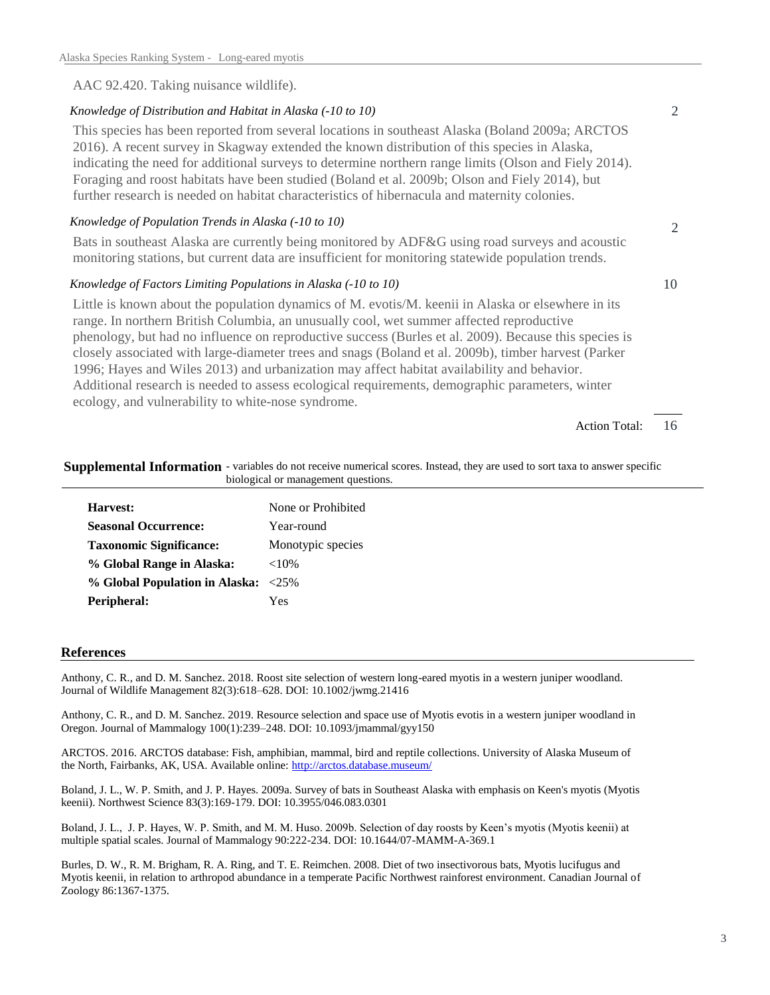AAC 92.420. Taking nuisance wildlife).

### *Knowledge of Distribution and Habitat in Alaska (-10 to 10)*

This species has been reported from several locations in southeast Alaska (Boland 2009a; ARCTOS 2016). A recent survey in Skagway extended the known distribution of this species in Alaska, indicating the need for additional surveys to determine northern range limits (Olson and Fiely 2014). Foraging and roost habitats have been studied (Boland et al. 2009b; Olson and Fiely 2014), but further research is needed on habitat characteristics of hibernacula and maternity colonies.

#### *Knowledge of Population Trends in Alaska (-10 to 10)*

Bats in southeast Alaska are currently being monitored by ADF&G using road surveys and acoustic monitoring stations, but current data are insufficient for monitoring statewide population trends.

#### *Knowledge of Factors Limiting Populations in Alaska (-10 to 10)*

Little is known about the population dynamics of M. evotis/M. keenii in Alaska or elsewhere in its range. In northern British Columbia, an unusually cool, wet summer affected reproductive phenology, but had no influence on reproductive success (Burles et al. 2009). Because this species is closely associated with large-diameter trees and snags (Boland et al. 2009b), timber harvest (Parker 1996; Hayes and Wiles 2013) and urbanization may affect habitat availability and behavior. Additional research is needed to assess ecological requirements, demographic parameters, winter ecology, and vulnerability to white-nose syndrome.

> 16 Action Total:

2

10

2

#### Supplemental Information - variables do not receive numerical scores. Instead, they are used to sort taxa to answer specific biological or management questions.

| Harvest:                            | None or Prohibited |  |
|-------------------------------------|--------------------|--|
| <b>Seasonal Occurrence:</b>         | Year-round         |  |
| <b>Taxonomic Significance:</b>      | Monotypic species  |  |
| % Global Range in Alaska:           | ${<}10\%$          |  |
| % Global Population in Alaska: <25% |                    |  |
| Peripheral:                         | Yes                |  |

#### **References**

Anthony, C. R., and D. M. Sanchez. 2018. Roost site selection of western long-eared myotis in a western juniper woodland. Journal of Wildlife Management 82(3):618–628. DOI: 10.1002/jwmg.21416

Anthony, C. R., and D. M. Sanchez. 2019. Resource selection and space use of Myotis evotis in a western juniper woodland in Oregon. Journal of Mammalogy 100(1):239–248. DOI: 10.1093/jmammal/gyy150

ARCTOS. 2016. ARCTOS database: Fish, amphibian, mammal, bird and reptile collections. University of Alaska Museum of the North, Fairbanks, AK, USA. Available online: http://arctos.database.museum/

Boland, J. L., W. P. Smith, and J. P. Hayes. 2009a. Survey of bats in Southeast Alaska with emphasis on Keen's myotis (Myotis keenii). Northwest Science 83(3):169-179. DOI: 10.3955/046.083.0301

Boland, J. L., J. P. Hayes, W. P. Smith, and M. M. Huso. 2009b. Selection of day roosts by Keen's myotis (Myotis keenii) at multiple spatial scales. Journal of Mammalogy 90:222-234. DOI: 10.1644/07-MAMM-A-369.1

Burles, D. W., R. M. Brigham, R. A. Ring, and T. E. Reimchen. 2008. Diet of two insectivorous bats, Myotis lucifugus and Myotis keenii, in relation to arthropod abundance in a temperate Pacific Northwest rainforest environment. Canadian Journal of Zoology 86:1367-1375.